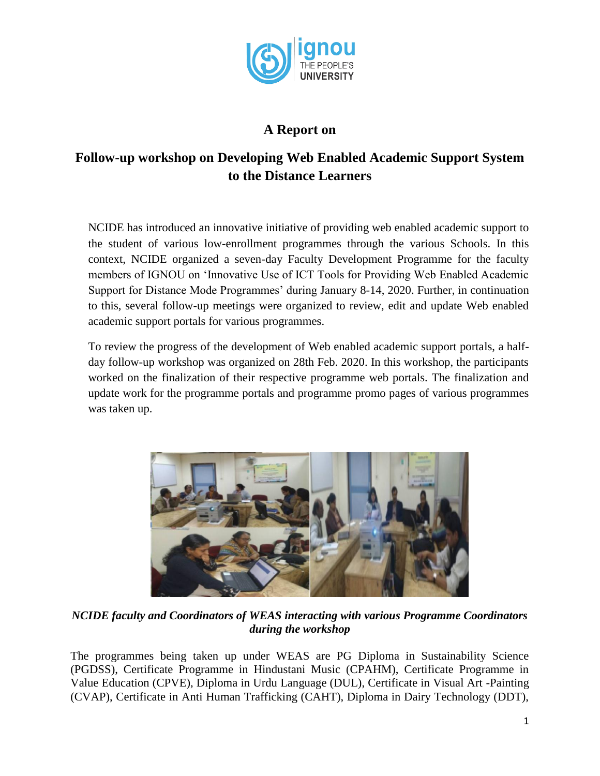

## **A Report on**

## **Follow-up workshop on Developing Web Enabled Academic Support System to the Distance Learners**

NCIDE has introduced an innovative initiative of providing web enabled academic support to the student of various low-enrollment programmes through the various Schools. In this context, NCIDE organized a seven-day Faculty Development Programme for the faculty members of IGNOU on 'Innovative Use of ICT Tools for Providing Web Enabled Academic Support for Distance Mode Programmes' during January 8-14, 2020. Further, in continuation to this, several follow-up meetings were organized to review, edit and update Web enabled academic support portals for various programmes.

To review the progress of the development of Web enabled academic support portals, a halfday follow-up workshop was organized on 28th Feb. 2020. In this workshop, the participants worked on the finalization of their respective programme web portals. The finalization and update work for the programme portals and programme promo pages of various programmes was taken up.



*NCIDE faculty and Coordinators of WEAS interacting with various Programme Coordinators during the workshop*

The programmes being taken up under WEAS are PG Diploma in Sustainability Science (PGDSS), Certificate Programme in Hindustani Music (CPAHM), Certificate Programme in Value Education (CPVE), Diploma in Urdu Language (DUL), Certificate in Visual Art -Painting (CVAP), Certificate in Anti Human Trafficking (CAHT), Diploma in Dairy Technology (DDT),